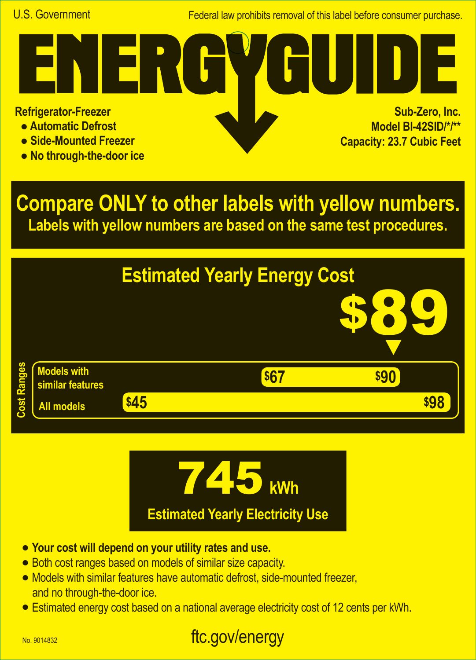Federal law prohibits removal of this label before consumer purchase.

**Refrigerator-Freezer**

- **Automatic Defrost**
- **Side-Mounted Freezer**
- **No through-the-door ice**

**Sub-Zero, Inc. Model BI-42SID/\*/\*\* Capacity: 23.7 Cubic Feet A**

**Compare ONLY to other labels with yellow numbers. Labels with yellow numbers are based on the same test procedures.**





- **• Your cost will depend on your utility rates and use.**
- **•** Both cost ranges based on models of similar size capacity.
- **•** Models with similar features have automatic defrost, side-mounted freezer, and no through-the-door ice.
- **•** Estimated energy cost based on a national average electricity cost of 12 cents per kWh.

## ftc.gov/energy